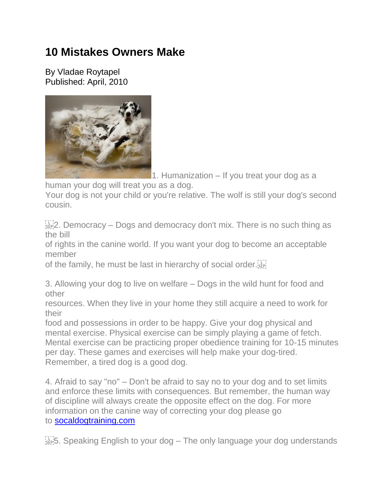## **10 Mistakes Owners Make**

By Vladae Roytapel Published: April, 2010



1. Humanization – If you treat your dog as a

human your dog will treat you as a dog.

Your dog is not your child or you're relative. The wolf is still your dog's second cousin.

 $E_{\text{SEP}}^{[1]}$ . Democracy – Dogs and democracy don't mix. There is no such thing as the bill

of rights in the canine world. If you want your dog to become an acceptable member

of the family, he must be last in hierarchy of social order.

3. Allowing your dog to live on welfare – Dogs in the wild hunt for food and other

resources. When they live in your home they still acquire a need to work for their

food and possessions in order to be happy. Give your dog physical and mental exercise. Physical exercise can be simply playing a game of fetch. Mental exercise can be practicing proper obedience training for 10-15 minutes per day. These games and exercises will help make your dog-tired. Remember, a tired dog is a good dog.

4. Afraid to say "no" – Don't be afraid to say no to your dog and to set limits and enforce these limits with consequences. But remember, the human way of discipline will always create the opposite effect on the dog. For more information on the canine way of correcting your dog please go to [socaldogtraining.com](http://www.socaldogtraining.com/)

 $\frac{1}{35}$ . Speaking English to your dog – The only language your dog understands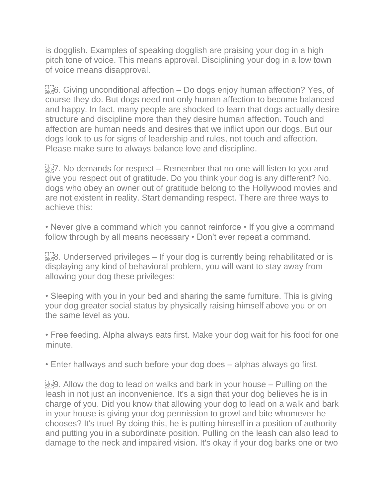is dogglish. Examples of speaking dogglish are praising your dog in a high pitch tone of voice. This means approval. Disciplining your dog in a low town of voice means disapproval.

 $\frac{1}{35}$ . Giving unconditional affection – Do dogs enjoy human affection? Yes, of course they do. But dogs need not only human affection to become balanced and happy. In fact, many people are shocked to learn that dogs actually desire structure and discipline more than they desire human affection. Touch and affection are human needs and desires that we inflict upon our dogs. But our dogs look to us for signs of leadership and rules, not touch and affection. Please make sure to always balance love and discipline.

 $\frac{1}{2}$ <sub>ster</sub>?. No demands for respect – Remember that no one will listen to you and give you respect out of gratitude. Do you think your dog is any different? No, dogs who obey an owner out of gratitude belong to the Hollywood movies and are not existent in reality. Start demanding respect. There are three ways to achieve this:

• Never give a command which you cannot reinforce • If you give a command follow through by all means necessary • Don't ever repeat a command.

 $\frac{1}{15}$ 8. Underserved privileges – If your dog is currently being rehabilitated or is displaying any kind of behavioral problem, you will want to stay away from allowing your dog these privileges:

• Sleeping with you in your bed and sharing the same furniture. This is giving your dog greater social status by physically raising himself above you or on the same level as you.

• Free feeding. Alpha always eats first. Make your dog wait for his food for one minute.

• Enter hallways and such before your dog does – alphas always go first.

 $\frac{1}{15}$ ,  $\frac{1}{10}$ . Allow the dog to lead on walks and bark in your house – Pulling on the leash in not just an inconvenience. It's a sign that your dog believes he is in charge of you. Did you know that allowing your dog to lead on a walk and bark in your house is giving your dog permission to growl and bite whomever he chooses? It's true! By doing this, he is putting himself in a position of authority and putting you in a subordinate position. Pulling on the leash can also lead to damage to the neck and impaired vision. It's okay if your dog barks one or two